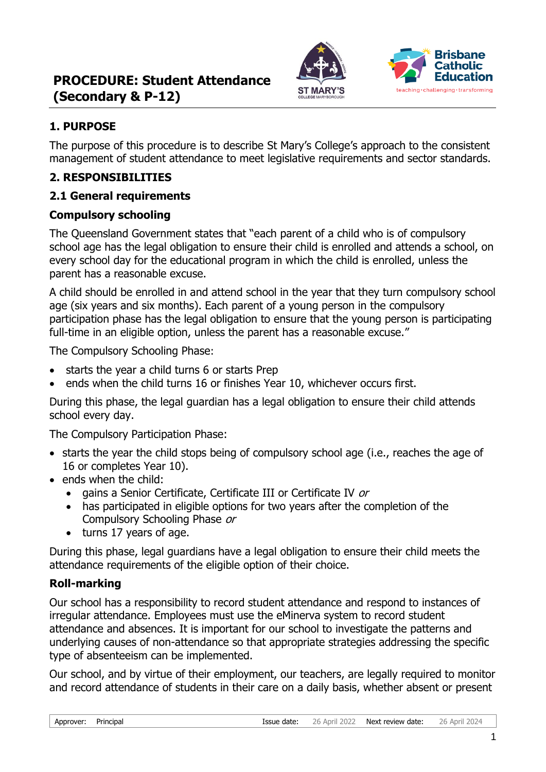



## **1. PURPOSE**

The purpose of this procedure is to describe St Mary's College's approach to the consistent management of student attendance to meet legislative requirements and sector standards.

## **2. RESPONSIBILITIES**

### **2.1 General requirements**

### **Compulsory schooling**

The Queensland Government states that "each parent of a child who is of compulsory school age has the legal obligation to ensure their child is enrolled and attends a school, on every school day for the educational program in which the child is enrolled, unless the parent has a reasonable excuse.

A child should be enrolled in and attend school in the year that they turn compulsory school age (six years and six months). Each parent of a young person in the compulsory participation phase has the legal obligation to ensure that the young person is participating full-time in an eligible option, unless the parent has a reasonable excuse."

The Compulsory Schooling Phase:

- starts the year a child turns 6 or starts Prep
- ends when the child turns 16 or finishes Year 10, whichever occurs first.

During this phase, the legal guardian has a legal obligation to ensure their child attends school every day.

The Compulsory Participation Phase:

- starts the year the child stops being of compulsory school age (i.e., reaches the age of 16 or completes Year 10).
- ends when the child:
	- gains a Senior Certificate, Certificate III or Certificate IV or
	- has participated in eligible options for two years after the completion of the Compulsory Schooling Phase or
	- turns 17 years of age.

During this phase, legal guardians have a legal obligation to ensure their child meets the attendance requirements of the eligible option of their choice.

### **Roll-marking**

Our school has a responsibility to record student attendance and respond to instances of irregular attendance. Employees must use the eMinerva system to record student attendance and absences. It is important for our school to investigate the patterns and underlying causes of non-attendance so that appropriate strategies addressing the specific type of absenteeism can be implemented.

Our school, and by virtue of their employment, our teachers, are legally required to monitor and record attendance of students in their care on a daily basis, whether absent or present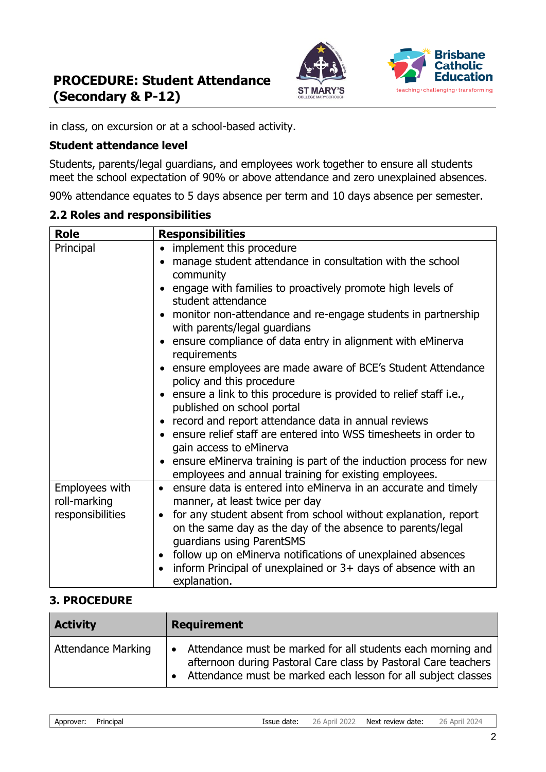



in class, on excursion or at a school-based activity.

#### **Student attendance level**

Students, parents/legal guardians, and employees work together to ensure all students meet the school expectation of 90% or above attendance and zero unexplained absences.

90% attendance equates to 5 days absence per term and 10 days absence per semester.

#### **2.2 Roles and responsibilities**

| <b>Role</b>                    | <b>Responsibilities</b>                                                                                                                                                |
|--------------------------------|------------------------------------------------------------------------------------------------------------------------------------------------------------------------|
| Principal                      | • implement this procedure                                                                                                                                             |
|                                | manage student attendance in consultation with the school<br>$\bullet$                                                                                                 |
|                                | community                                                                                                                                                              |
|                                | engage with families to proactively promote high levels of<br>student attendance                                                                                       |
|                                | • monitor non-attendance and re-engage students in partnership<br>with parents/legal guardians                                                                         |
|                                | • ensure compliance of data entry in alignment with eMinerva<br>requirements                                                                                           |
|                                | • ensure employees are made aware of BCE's Student Attendance<br>policy and this procedure                                                                             |
|                                | • ensure a link to this procedure is provided to relief staff i.e.,<br>published on school portal                                                                      |
|                                | • record and report attendance data in annual reviews                                                                                                                  |
|                                | • ensure relief staff are entered into WSS timesheets in order to<br>gain access to eMinerva                                                                           |
|                                | • ensure eMinerva training is part of the induction process for new<br>employees and annual training for existing employees.                                           |
| Employees with<br>roll-marking | • ensure data is entered into eMinerva in an accurate and timely<br>manner, at least twice per day                                                                     |
| responsibilities               | for any student absent from school without explanation, report<br>$\bullet$<br>on the same day as the day of the absence to parents/legal<br>guardians using ParentSMS |
|                                | follow up on eMinerva notifications of unexplained absences<br>$\bullet$                                                                                               |
|                                | inform Principal of unexplained or 3+ days of absence with an<br>$\bullet$<br>explanation.                                                                             |

### **3. PROCEDURE**

| <b>Activity</b>           | <b>Requirement</b>                                                                                                                                                                               |
|---------------------------|--------------------------------------------------------------------------------------------------------------------------------------------------------------------------------------------------|
| <b>Attendance Marking</b> | Attendance must be marked for all students each morning and<br>afternoon during Pastoral Care class by Pastoral Care teachers<br>• Attendance must be marked each lesson for all subject classes |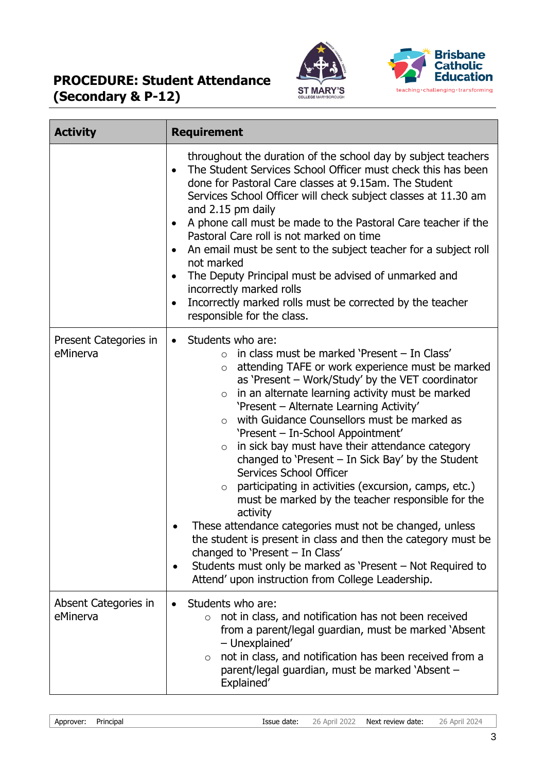



| <b>Activity</b>                   | <b>Requirement</b>                                                                                                                                                                                                                                                                                                                                                                                                                                                                                                                                                                                                                                                                                                                                                                                                                                                                                                                                                                                       |
|-----------------------------------|----------------------------------------------------------------------------------------------------------------------------------------------------------------------------------------------------------------------------------------------------------------------------------------------------------------------------------------------------------------------------------------------------------------------------------------------------------------------------------------------------------------------------------------------------------------------------------------------------------------------------------------------------------------------------------------------------------------------------------------------------------------------------------------------------------------------------------------------------------------------------------------------------------------------------------------------------------------------------------------------------------|
|                                   | throughout the duration of the school day by subject teachers<br>The Student Services School Officer must check this has been<br>$\bullet$<br>done for Pastoral Care classes at 9.15am. The Student<br>Services School Officer will check subject classes at 11.30 am<br>and 2.15 pm daily<br>A phone call must be made to the Pastoral Care teacher if the<br>Pastoral Care roll is not marked on time<br>An email must be sent to the subject teacher for a subject roll<br>not marked<br>The Deputy Principal must be advised of unmarked and<br>incorrectly marked rolls<br>Incorrectly marked rolls must be corrected by the teacher<br>responsible for the class.                                                                                                                                                                                                                                                                                                                                  |
| Present Categories in<br>eMinerva | Students who are:<br>$\bullet$<br>in class must be marked 'Present - In Class'<br>$\circ$<br>attending TAFE or work experience must be marked<br>$\circ$<br>as 'Present - Work/Study' by the VET coordinator<br>in an alternate learning activity must be marked<br>$\circ$<br>'Present - Alternate Learning Activity'<br>with Guidance Counsellors must be marked as<br>$\circ$<br>'Present - In-School Appointment'<br>in sick bay must have their attendance category<br>$\circ$<br>changed to 'Present $-$ In Sick Bay' by the Student<br>Services School Officer<br>participating in activities (excursion, camps, etc.)<br>$\circ$<br>must be marked by the teacher responsible for the<br>activity<br>These attendance categories must not be changed, unless<br>the student is present in class and then the category must be<br>changed to 'Present - In Class'<br>Students must only be marked as 'Present - Not Required to<br>$\bullet$<br>Attend' upon instruction from College Leadership. |
| Absent Categories in<br>eMinerva  | Students who are:<br>not in class, and notification has not been received<br>from a parent/legal guardian, must be marked 'Absent<br>- Unexplained'<br>not in class, and notification has been received from a<br>$\circ$<br>parent/legal guardian, must be marked 'Absent -<br>Explained'                                                                                                                                                                                                                                                                                                                                                                                                                                                                                                                                                                                                                                                                                                               |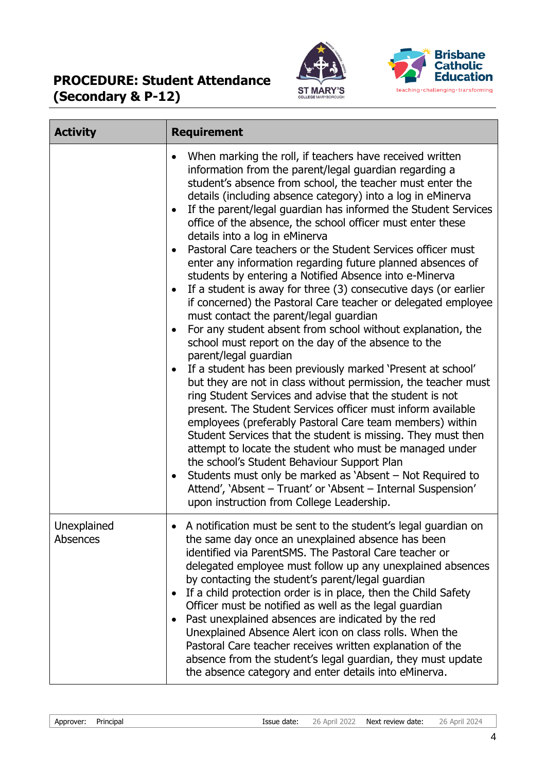



| <b>Activity</b>         | <b>Requirement</b>                                                                                                                                                                                                                                                                                                                                                                                                                                                                                                                                                                                                                                                                                                                                                                                                                                                                                                                                                                                                                                                                                                                                                                                                                                                                                                                                                                                                                                                                                                                                                                                               |
|-------------------------|------------------------------------------------------------------------------------------------------------------------------------------------------------------------------------------------------------------------------------------------------------------------------------------------------------------------------------------------------------------------------------------------------------------------------------------------------------------------------------------------------------------------------------------------------------------------------------------------------------------------------------------------------------------------------------------------------------------------------------------------------------------------------------------------------------------------------------------------------------------------------------------------------------------------------------------------------------------------------------------------------------------------------------------------------------------------------------------------------------------------------------------------------------------------------------------------------------------------------------------------------------------------------------------------------------------------------------------------------------------------------------------------------------------------------------------------------------------------------------------------------------------------------------------------------------------------------------------------------------------|
|                         | When marking the roll, if teachers have received written<br>information from the parent/legal guardian regarding a<br>student's absence from school, the teacher must enter the<br>details (including absence category) into a log in eMinerva<br>If the parent/legal guardian has informed the Student Services<br>office of the absence, the school officer must enter these<br>details into a log in eMinerva<br>Pastoral Care teachers or the Student Services officer must<br>enter any information regarding future planned absences of<br>students by entering a Notified Absence into e-Minerva<br>If a student is away for three (3) consecutive days (or earlier<br>if concerned) the Pastoral Care teacher or delegated employee<br>must contact the parent/legal guardian<br>For any student absent from school without explanation, the<br>school must report on the day of the absence to the<br>parent/legal guardian<br>If a student has been previously marked 'Present at school'<br>but they are not in class without permission, the teacher must<br>ring Student Services and advise that the student is not<br>present. The Student Services officer must inform available<br>employees (preferably Pastoral Care team members) within<br>Student Services that the student is missing. They must then<br>attempt to locate the student who must be managed under<br>the school's Student Behaviour Support Plan<br>Students must only be marked as 'Absent – Not Required to<br>Attend', 'Absent - Truant' or 'Absent - Internal Suspension'<br>upon instruction from College Leadership. |
| Unexplained<br>Absences | A notification must be sent to the student's legal guardian on<br>the same day once an unexplained absence has been<br>identified via ParentSMS. The Pastoral Care teacher or<br>delegated employee must follow up any unexplained absences<br>by contacting the student's parent/legal guardian<br>If a child protection order is in place, then the Child Safety<br>Officer must be notified as well as the legal guardian<br>Past unexplained absences are indicated by the red<br>Unexplained Absence Alert icon on class rolls. When the<br>Pastoral Care teacher receives written explanation of the<br>absence from the student's legal guardian, they must update<br>the absence category and enter details into eMinerva.                                                                                                                                                                                                                                                                                                                                                                                                                                                                                                                                                                                                                                                                                                                                                                                                                                                                               |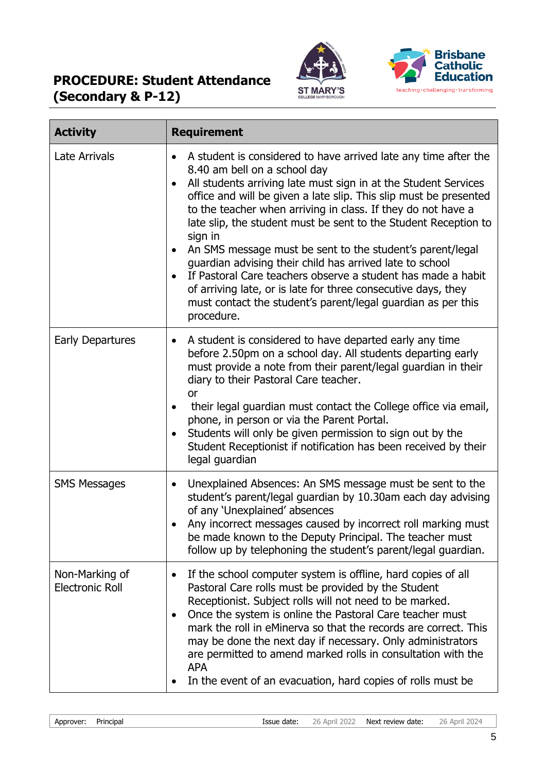



| <b>Activity</b>                          | <b>Requirement</b>                                                                                                                                                                                                                                                                                                                                                                                                                                                                                                                                                                                                                                                                                                            |
|------------------------------------------|-------------------------------------------------------------------------------------------------------------------------------------------------------------------------------------------------------------------------------------------------------------------------------------------------------------------------------------------------------------------------------------------------------------------------------------------------------------------------------------------------------------------------------------------------------------------------------------------------------------------------------------------------------------------------------------------------------------------------------|
| <b>Late Arrivals</b>                     | A student is considered to have arrived late any time after the<br>8.40 am bell on a school day<br>All students arriving late must sign in at the Student Services<br>office and will be given a late slip. This slip must be presented<br>to the teacher when arriving in class. If they do not have a<br>late slip, the student must be sent to the Student Reception to<br>sign in<br>An SMS message must be sent to the student's parent/legal<br>guardian advising their child has arrived late to school<br>If Pastoral Care teachers observe a student has made a habit<br>of arriving late, or is late for three consecutive days, they<br>must contact the student's parent/legal guardian as per this<br>procedure. |
| <b>Early Departures</b>                  | A student is considered to have departed early any time<br>before 2.50pm on a school day. All students departing early<br>must provide a note from their parent/legal guardian in their<br>diary to their Pastoral Care teacher.<br><b>or</b><br>their legal guardian must contact the College office via email,<br>phone, in person or via the Parent Portal.<br>Students will only be given permission to sign out by the<br>Student Receptionist if notification has been received by their<br>legal guardian                                                                                                                                                                                                              |
| <b>SMS Messages</b>                      | Unexplained Absences: An SMS message must be sent to the<br>$\bullet$<br>student's parent/legal guardian by 10.30am each day advising<br>of any 'Unexplained' absences<br>Any incorrect messages caused by incorrect roll marking must<br>be made known to the Deputy Principal. The teacher must<br>follow up by telephoning the student's parent/legal guardian.                                                                                                                                                                                                                                                                                                                                                            |
| Non-Marking of<br><b>Electronic Roll</b> | If the school computer system is offline, hard copies of all<br>$\bullet$<br>Pastoral Care rolls must be provided by the Student<br>Receptionist. Subject rolls will not need to be marked.<br>Once the system is online the Pastoral Care teacher must<br>$\bullet$<br>mark the roll in eMinerva so that the records are correct. This<br>may be done the next day if necessary. Only administrators<br>are permitted to amend marked rolls in consultation with the<br><b>APA</b><br>In the event of an evacuation, hard copies of rolls must be                                                                                                                                                                            |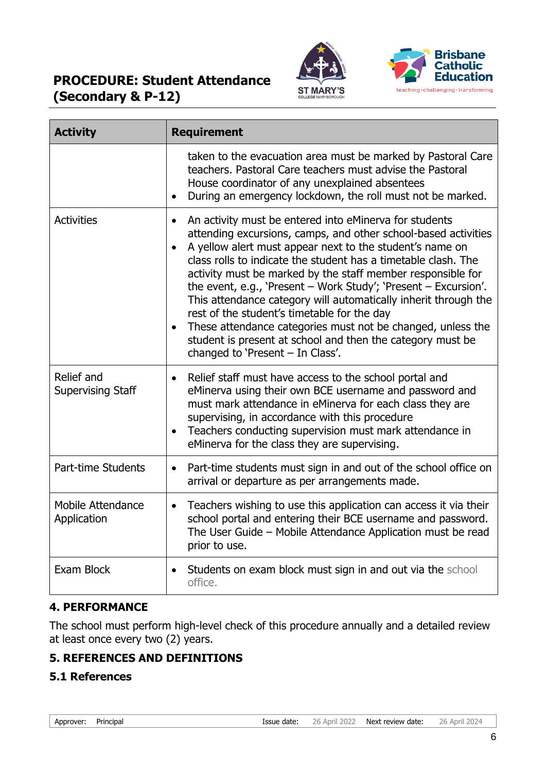



| <b>Activity</b>                        | <b>Requirement</b>                                                                                                                                                                                                                                                                                                                                                                                                                                                                                                                                                                                                                                                          |  |
|----------------------------------------|-----------------------------------------------------------------------------------------------------------------------------------------------------------------------------------------------------------------------------------------------------------------------------------------------------------------------------------------------------------------------------------------------------------------------------------------------------------------------------------------------------------------------------------------------------------------------------------------------------------------------------------------------------------------------------|--|
|                                        | taken to the evacuation area must be marked by Pastoral Care<br>teachers. Pastoral Care teachers must advise the Pastoral<br>House coordinator of any unexplained absentees<br>During an emergency lockdown, the roll must not be marked.                                                                                                                                                                                                                                                                                                                                                                                                                                   |  |
| <b>Activities</b>                      | An activity must be entered into eMinerva for students<br>attending excursions, camps, and other school-based activities<br>A yellow alert must appear next to the student's name on<br>class rolls to indicate the student has a timetable clash. The<br>activity must be marked by the staff member responsible for<br>the event, e.g., 'Present - Work Study'; 'Present - Excursion'.<br>This attendance category will automatically inherit through the<br>rest of the student's timetable for the day<br>These attendance categories must not be changed, unless the<br>student is present at school and then the category must be<br>changed to 'Present - In Class'. |  |
| Relief and<br><b>Supervising Staff</b> | Relief staff must have access to the school portal and<br>$\bullet$<br>eMinerva using their own BCE username and password and<br>must mark attendance in eMinerva for each class they are<br>supervising, in accordance with this procedure<br>Teachers conducting supervision must mark attendance in<br>eMinerva for the class they are supervising.                                                                                                                                                                                                                                                                                                                      |  |
| Part-time Students                     | Part-time students must sign in and out of the school office on<br>$\bullet$<br>arrival or departure as per arrangements made.                                                                                                                                                                                                                                                                                                                                                                                                                                                                                                                                              |  |
| Mobile Attendance<br>Application       | Teachers wishing to use this application can access it via their<br>$\bullet$<br>school portal and entering their BCE username and password.<br>The User Guide - Mobile Attendance Application must be read<br>prior to use.                                                                                                                                                                                                                                                                                                                                                                                                                                                |  |
| Exam Block                             | Students on exam block must sign in and out via the school<br>office.                                                                                                                                                                                                                                                                                                                                                                                                                                                                                                                                                                                                       |  |

### **4. PERFORMANCE**

The school must perform high-level check of this procedure annually and a detailed review at least once every two (2) years.

### **5. REFERENCES AND DEFINITIONS**

#### **5.1 References**

| Approver: | Principal |
|-----------|-----------|
|-----------|-----------|